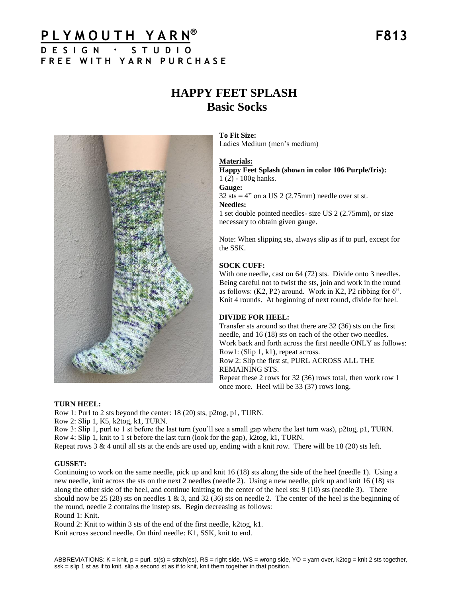# **P L Y M O U T H Y A R N ® F813 D E S I G N · S T U D I O F R E E W I T H Y A R N P U R C H A S E**

# **HAPPY FEET SPLASH Basic Socks**



**To Fit Size:** Ladies Medium (men's medium)

#### **Materials:**

**Happy Feet Splash (shown in color 106 Purple/Iris):** 1 (2) - 100g hanks.

# **Gauge:**

 $32$  sts = 4" on a US 2 (2.75mm) needle over st st.

#### **Needles:**

1 set double pointed needles- size US 2 (2.75mm), or size necessary to obtain given gauge.

Note: When slipping sts, always slip as if to purl, except for the SSK.

#### **SOCK CUFF:**

With one needle, cast on 64 (72) sts. Divide onto 3 needles. Being careful not to twist the sts, join and work in the round as follows: (K2, P2) around. Work in K2, P2 ribbing for 6". Knit 4 rounds. At beginning of next round, divide for heel.

#### **DIVIDE FOR HEEL:**

Transfer sts around so that there are 32 (36) sts on the first needle, and 16 (18) sts on each of the other two needles. Work back and forth across the first needle ONLY as follows: Row1: (Slip 1, k1), repeat across. Row 2: Slip the first st, PURL ACROSS ALL THE REMAINING STS. Repeat these 2 rows for 32 (36) rows total, then work row 1 once more. Heel will be 33 (37) rows long.

#### **TURN HEEL:**

Row 1: Purl to 2 sts beyond the center: 18 (20) sts, p2tog, p1, TURN.

Row 2: Slip 1, K5, k2tog, k1, TURN.

Row 3: Slip 1, purl to 1 st before the last turn (you'll see a small gap where the last turn was), p2tog, p1, TURN. Row 4: Slip 1, knit to 1 st before the last turn (look for the gap), k2tog, k1, TURN.

Repeat rows  $3 \& 4$  until all sts at the ends are used up, ending with a knit row. There will be 18 (20) sts left.

#### **GUSSET:**

Continuing to work on the same needle, pick up and knit 16 (18) sts along the side of the heel (needle 1). Using a new needle, knit across the sts on the next 2 needles (needle 2). Using a new needle, pick up and knit 16 (18) sts along the other side of the heel, and continue knitting to the center of the heel sts: 9 (10) sts (needle 3). There should now be 25 (28) sts on needles 1 & 3, and 32 (36) sts on needle 2. The center of the heel is the beginning of the round, needle 2 contains the instep sts. Begin decreasing as follows: Round 1: Knit.

Round 2: Knit to within 3 sts of the end of the first needle, k2tog, k1. Knit across second needle. On third needle: K1, SSK, knit to end.